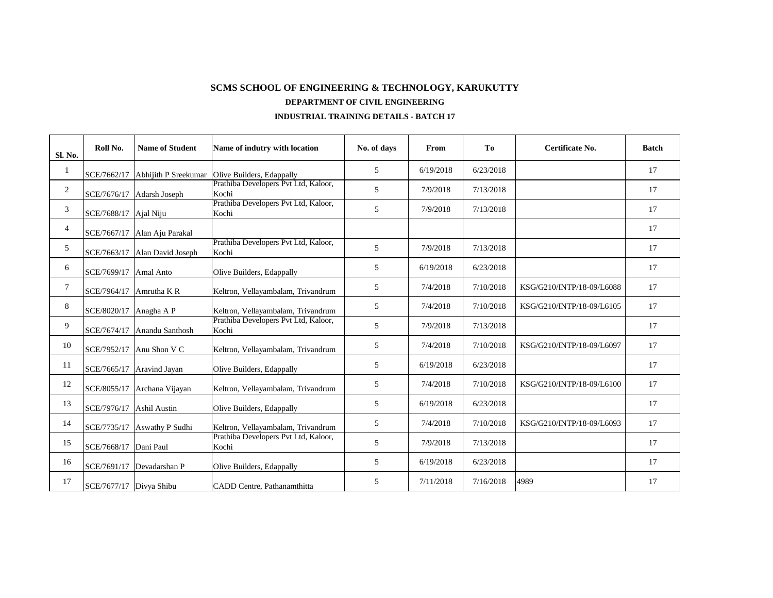| <b>Sl. No.</b>  | Roll No.                | <b>Name of Student</b>       | Name of indutry with location                 | No. of days     | From      | <b>To</b> | <b>Certificate No.</b>    | <b>Batch</b> |
|-----------------|-------------------------|------------------------------|-----------------------------------------------|-----------------|-----------|-----------|---------------------------|--------------|
|                 | SCE/7662/17             | Abhijith P Sreekumar         | Olive Builders, Edappally                     | $5\overline{)}$ | 6/19/2018 | 6/23/2018 |                           | 17           |
| $\overline{2}$  | SCE/7676/17             | Adarsh Joseph                | Prathiba Developers Pvt Ltd, Kaloor,<br>Kochi | $5\overline{)}$ | 7/9/2018  | 7/13/2018 |                           | 17           |
| $\mathfrak{Z}$  | SCE/7688/17             | Ajal Niju                    | Prathiba Developers Pvt Ltd, Kaloor,<br>Kochi | 5 <sup>5</sup>  | 7/9/2018  | 7/13/2018 |                           | 17           |
| $\overline{4}$  |                         | SCE/7667/17 Alan Aju Parakal |                                               |                 |           |           |                           | 17           |
| $5\overline{)}$ | SCE/7663/17             | Alan David Joseph            | Prathiba Developers Pvt Ltd, Kaloor,<br>Kochi | $5\overline{)}$ | 7/9/2018  | 7/13/2018 |                           | 17           |
| 6               | SCE/7699/17             | <b>Amal Anto</b>             | Olive Builders, Edappally                     | $5\overline{)}$ | 6/19/2018 | 6/23/2018 |                           | 17           |
| $7\phantom{.0}$ | SCE/7964/17             | Amrutha KR                   | Keltron, Vellayambalam, Trivandrum            | 5               | 7/4/2018  | 7/10/2018 | KSG/G210/INTP/18-09/L6088 | 17           |
| 8               | SCE/8020/17             | Anagha A P                   | Keltron, Vellayambalam, Trivandrum            | $5\overline{)}$ | 7/4/2018  | 7/10/2018 | KSG/G210/INTP/18-09/L6105 | 17           |
| 9               | SCE/7674/17             | Anandu Santhosh              | Prathiba Developers Pvt Ltd, Kaloor,<br>Kochi | $\overline{5}$  | 7/9/2018  | 7/13/2018 |                           | 17           |
| 10              | SCE/7952/17             | Anu Shon V C                 | Keltron, Vellayambalam, Trivandrum            | $\mathfrak{S}$  | 7/4/2018  | 7/10/2018 | KSG/G210/INTP/18-09/L6097 | 17           |
| <b>11</b>       | SCE/7665/17             | Aravind Jayan                | Olive Builders, Edappally                     | $\overline{5}$  | 6/19/2018 | 6/23/2018 |                           | 17           |
| 12              | SCE/8055/17             | Archana Vijayan              | Keltron, Vellayambalam, Trivandrum            | 5               | 7/4/2018  | 7/10/2018 | KSG/G210/INTP/18-09/L6100 | 17           |
| 13              | SCE/7976/17             | Ashil Austin                 | Olive Builders, Edappally                     | 5               | 6/19/2018 | 6/23/2018 |                           | 17           |
| 14              | SCE/7735/17             | Aswathy P Sudhi              | Keltron, Vellayambalam, Trivandrum            | 5               | 7/4/2018  | 7/10/2018 | KSG/G210/INTP/18-09/L6093 | 17           |
| 15              | SCE/7668/17             | Dani Paul                    | Prathiba Developers Pvt Ltd, Kaloor,<br>Kochi | 5 <sup>5</sup>  | 7/9/2018  | 7/13/2018 |                           | 17           |
| 16              | SCE/7691/17             | Devadarshan P                | Olive Builders, Edappally                     | $5\overline{)}$ | 6/19/2018 | 6/23/2018 |                           | 17           |
| 17              | SCE/7677/17 Divya Shibu |                              | CADD Centre, Pathanamthitta                   | 5               | 7/11/2018 | 7/16/2018 | 4989                      | 17           |

## **INDUSTRIAL TRAINING DETAILS - BATCH 17**

## **DEPARTMENT OF CIVIL ENGINEERING SCMS SCHOOL OF ENGINEERING & TECHNOLOGY, KARUKUTTY**